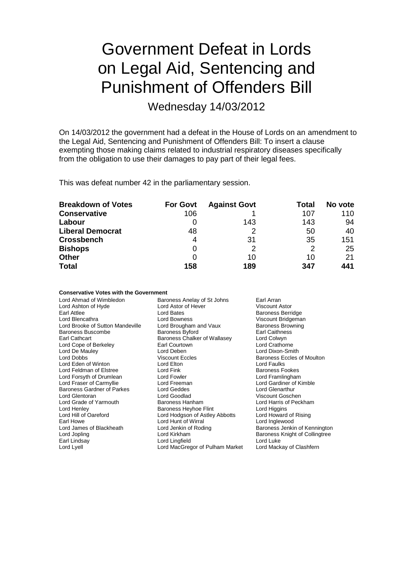## Government Defeat in Lords on Legal Aid, Sentencing and Punishment of Offenders Bill

Wednesday 14/03/2012

On 14/03/2012 the government had a defeat in the House of Lords on an amendment to the Legal Aid, Sentencing and Punishment of Offenders Bill: To insert a clause exempting those making claims related to industrial respiratory diseases specifically from the obligation to use their damages to pay part of their legal fees.

This was defeat number 42 in the parliamentary session.

| <b>Breakdown of Votes</b> | <b>For Govt</b> | <b>Against Govt</b> | Total | No vote |
|---------------------------|-----------------|---------------------|-------|---------|
| <b>Conservative</b>       | 106             |                     | 107   | 110     |
| Labour                    |                 | 143                 | 143   | 94      |
| <b>Liberal Democrat</b>   | 48              |                     | 50    | 40      |
| <b>Crossbench</b>         | 4               | 31                  | 35    | 151     |
| <b>Bishops</b>            | 0               |                     | 2     | 25      |
| <b>Other</b>              |                 | 10                  | 10    | 21      |
| <b>Total</b>              | 158             | 189                 | 347   | 441     |

#### **Conservative Votes with the Government**

| Lord Ahmad of Wimbledon           | Baroness Anelay of St Johns<br>Earl Arran |                                   |
|-----------------------------------|-------------------------------------------|-----------------------------------|
| Lord Ashton of Hyde               | Lord Astor of Hever                       | Viscount Astor                    |
| Earl Attlee                       | Lord Bates                                | <b>Baroness Berridge</b>          |
| Lord Blencathra                   | Lord Bowness                              | Viscount Bridgeman                |
| Lord Brooke of Sutton Mandeville  | Lord Brougham and Vaux                    | <b>Baroness Browning</b>          |
| Baroness Buscombe                 | <b>Baroness Byford</b>                    | Earl Caithness                    |
| Earl Cathcart                     | Baroness Chalker of Wallasey              | Lord Colwyn                       |
| Lord Cope of Berkeley             | Earl Courtown                             | Lord Crathorne                    |
| Lord De Mauley                    | Lord Deben                                | Lord Dixon-Smith                  |
| Lord Dobbs                        | <b>Viscount Eccles</b>                    | <b>Baroness Eccles of Moulton</b> |
| Lord Eden of Winton               | Lord Elton                                | Lord Faulks                       |
| Lord Feldman of Elstree           | Lord Fink                                 | <b>Baroness Fookes</b>            |
| Lord Forsyth of Drumlean          | Lord Fowler                               | Lord Framlingham                  |
| Lord Fraser of Carmyllie          | Lord Freeman                              | Lord Gardiner of Kimble           |
| <b>Baroness Gardner of Parkes</b> | Lord Geddes                               | Lord Glenarthur                   |
| Lord Glentoran                    | Lord Goodlad                              | Viscount Goschen                  |
| Lord Grade of Yarmouth            | Baroness Hanham                           | Lord Harris of Peckham            |
| Lord Henley                       | Baroness Heyhoe Flint                     | Lord Higgins                      |
| Lord Hill of Oareford             | Lord Hodgson of Astley Abbotts            | Lord Howard of Rising             |
| Earl Howe                         | Lord Hunt of Wirral                       | Lord Inglewood                    |
| Lord James of Blackheath          | Lord Jenkin of Roding                     | Baroness Jenkin of Kennington     |
| Lord Jopling                      | Lord Kirkham                              | Baroness Knight of Collingtree    |
| Earl Lindsay                      | Lord Lingfield                            | Lord Luke                         |
| Lord Lyell                        | Lord MacGregor of Pulham Market           | Lord Mackay of Clashfern          |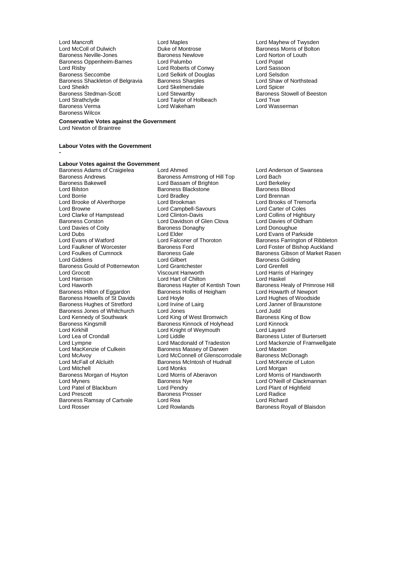Lord Mancroft **Lord Maples** Lord Maples **Lord Maples** Lord Maples **Lord Maples** Lord Maples Lord Maples Lord Maples Lord Maples Lord Maples Lord Maples Lord Maples Lord Maples Lord Maples Lord Maples Lord Maples Lord Maple Baroness Neville-Jones Baroness Newlove Lord Norton of Louth Baroness Oppenheim-Barnes Lord Palumbo Lord Popat Lord Popat Lord Popat Lord Popat Lord Rassoon Lord Risby Lord Roberts of Conwy Lord Sassoon Baroness Shackleton of Belgravia Baroness Sharples **Lord Shaw Cord Shaw Cord Shaw Cord Shaw** Cord Shaw Cord Shaw of Northstead Cord Shaw of Northstead Cord Shaw of Northstead Cord Shaw Cord Shaw Cord Shaw Cord Shaw Cord Sh Lord Sheikh Lord Skelmersdale<br>
Baroness Stedman-Scott Lord Stewartby Baroness Stedman-Scott **Lord Stewartby** Baroness Stowell of Beeston<br>
Lord Strathclyde **Baroness** Lord Taylor of Holbeach **Baroness** Stowell of Beeston Lord Strathclyde Lord Taylor of Holbeach<br>Baroness Verma<br>Lord Wakeham Lord Wakeham Baroness Wilcox

# Duke of Montrose **Baroness Morris of Bolton**<br>
Baroness Newlove **Baroness** Lord Norton of Louth Lord Selkirk of Douglas<br>
Baroness Sharples<br>
Lord Shaw of Northstead Lord Wasserman

#### **Conservative Votes against the Government** Lord Newton of Braintree

**-**

#### **Labour Votes with the Government**

### **Labour Votes against the Government**

Lord Borrie<br>
Lord Brooke of Alverthorpe<br>
Lord Brookman Lord Davies of Coity **Baroness I**<br>
Lord Dubs<br>
Lord Elder Baroness Gould of Potternewton Lord Grantchester<br>
Lord Grocott Lord Grenatchester<br>
Viscount Hanworth Lord Harrison **Lord Hart of Chilton**<br>
Lord Haworth **Lord Hart Communist Communist Communist Communist Communist Communist Communist Communist Communis** Lord Kirkhill Lord Knight of Weymouth<br>
Lord Lea of Crondall Lord Liddle Lord McFall of Alcluith Baroness McIntosh of Hudnall<br>
Lord Mitchell<br>
Lord Monks Baroness Morgan of Huyton Lord Morris of<br>
Lord Myners<br>
Cord Myners Baroness Ramsay of Cartvale Lord Rea<br>
Lord Rosser Lord Rowlands Lord Rosser **Lord Rowlands Baroness Royall of Blaisdon** 

Baroness Adams of Craigielea Lord Ahmed<br>
Baroness Andrews Baroness Armstrong of Hill Top Lord Bach<br>
Baroness Andrews Baroness Armstrong of Hill Top Lord Bach Baroness Andrews **Baroness Armstrong of Hill Top** Lord Bach<br>Baroness Bakewell **Bassam of Brighton** Lord Berkeley Baroness Bakewell **Example 2 Lord Bassam of Brighton** Cord Berkeley<br>
Lord Bilston **Baroness Blackstone** Baroness Blood<br>
Baroness Blood Lord Bilston Baroness Blackstone Baroness Blood Lord Brooke of Alverthorpe **Lord Brookman** Lord Brooks of Tremorfa<br>
Lord Brooks of Tremorfa<br>
Lord Campbell-Savours Lord Carter of Coles Lord Campbell-Savours<br>
Lord Clinton-Davis Lord Collins of Highbury Lord Clarke of Hampstead Lord Clinton-Davis Lord Collins of Highbury<br>
Lord Collins Corston Lord Davidson of Glen Clova Lord Davies of Oldham Lord Davidson of Glen Clova Lord Davies of O<br>Baroness Donaghy Lord Donoughue Lord Dubs Lord Elder Lord Evans of Parkside Lord Evans of Watford **Lord Falconer of Thoroton** Baroness Farrington of Ribbleton<br>Lord Faulkner of Worcester **Baroness Ford** Baroness Ford Baroness Ford Baroness Ford Beaulkner of Bishop Auckland Lord Faulkner of Worcester **Baroness Ford** Execution Cord Foster of Bishop Auckland<br>Lord Foulkes of Cumnock **Baroness Gale** Baroness Gale Baroness Gibson of Market Ras Lord Foulkes of Cumnock **Baroness Gale** Baroness Gale Baroness Gibson of Market Rasen<br>
Baroness Golding<br>
Baroness Golding Lord Gilbert **Baroness Golding**<br>
Lord Grantchester **Baroness Colding**<br>
Lord Grenfell Lord Grocott Viscount Hanworth Lord Harris of Haringey Baroness Hayter of Kentish Town Baroness Healy of Primrose Hill<br>Baroness Hollis of Heigham Lord Howarth of Newport Baroness Hilton of Eggardon Baroness Hollis of Heigham Lord Howarth of Newport<br>Baroness Howells of St Davids Lord Hoyle Lord Hoghes of Woodside Baroness Howells of St Davids Lord Hoyle<br>
Baroness Hughes of Stretford Lord Irvine of Lairg<br>
Lord Janner of Braunstone Baroness Hughes of Stretford Lord Irvine of Lairg<br>Baroness Jones of Whitchurch Lord Jones Lord Tudd Lord Judd Baroness Jones of Whitchurch Lord Jones<br>
Lord Kennedy of Southwark Lord King of West Bromwich Baroness King of Bow Lord Kennedy of Southwark Lord King of West Bromwich Baroness Kin<br>Baroness King Baroness Kinnock of Holyhead Lord Kinnock Baroness Kingsmill Baroness Kinnock of Holyhead Lord Kinnock<br>
Lord Kinnock Cord Kinnock Lord Cayard<br>
Lord Layard Lord Lea of Crondall **Lord Liddle** Lord Liddle **Baroness Lister of Burtersett**<br>Lord Lympne **Baroness Lister of Burtersett** Lord Machanic Lord Mackenzie of Framwellg Lord Lympne Lord Macdonald of Tradeston Lord Mackenzie of Framwellgate<br>
Lord MacKenzie of Culkein Baroness Massey of Darwen Lord Maxton Lord MacKenzie of Culkein Baroness Massey of Darwen Lord Maxton<br>
Lord McAvov Lord McConnell of Glenscorrodale Baroness McDonagh Lord McAvoy **Lord McConnell of Glenscorrodale** Baroness McDonagh<br>
Lord McFall of Alcluith **Baroness McIntosh of Hudnall** Lord McKenzie of Luton Lord Monks<br>
Lord Morris of Aberavon<br>
Lord Morris of Aberavon<br>
Lord Morris of Handsworth Lord Myners<br>
Lord Patel of Blackburn<br>
Lord Patel of Blackburn<br>
Lord Pant of Highfield<br>
Lord Plant of Highfield Lord Patel of Blackburn Lord Pendry Lord Pendry Lord Plant of Lord Plant of Lord Plant of Analice Corp Baroness Prosser Baroness Prosser **Baroness Prosser Lord Radice**<br>Lord Rea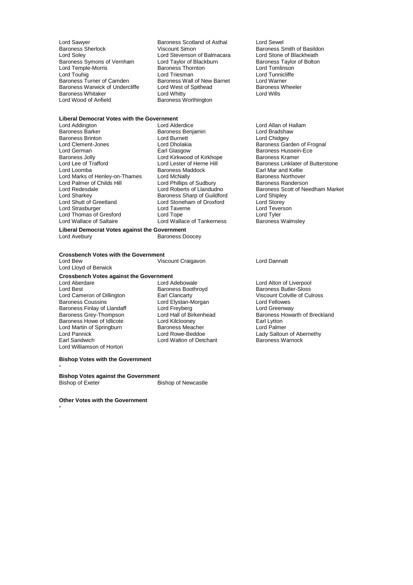Lord Sawyer **Communist Scotland Seart Assets Scotland** of Asthal Cord Sewel<br>Baroness Sherlock **Communist Scotland Seart Seart Assets** Baroness S Baroness Sherlock **Viscount Simon**<br>
Lord Solev **Baroness Smith of Basildon**<br>
Lord Stevenson of Balmacara 
Lord Stone of Blackheath Baroness Symons of Vernham Lord Taylor of Blackburn Baroness Taylor Baroness Taylor of Blackburn Baroness Taylor Cord Tomlinson Lord Temple-Morris Baroness Thornton Lord Touhig<br>
Lord Touhig<br>
Lord Triesman Baroness Turner of Camden Baroness Wall of New Barnet Lord Warner<br>Baroness Warwick of Undercliffe Lord West of Spithead Baroness Wheeler Baroness Warwick of Undercliffe Lord West of Spithead Baroness Corress Corress Lord Wills<br>Baroness Whitaker Lord Whitty Lord Whitty Baroness Whitaker<br>Lord Wood of Anfield

Lord Stevenson of Balmacara Lord Stone of Blackheath<br>
Lord Taylor of Blackburn Baroness Taylor of Bolton Lord Triesman **Lord Tunnicliffe**<br>
Baroness Wall of New Barnet **Lord Warner** Baroness Worthington

### **Liberal Democrat Votes with the Government**

Baroness Brinton **Lord Burnett**<br>
Lord Clement-Jones **Lord Dholakia** Lord Clement-Jones Lord Dholakia Baroness Garden of Frognal Lord German **Earl Glasgow** Earl Glasgow Baroness Hussein-Ece<br>
Baroness Jolly **Baroness Example 20**<br>
Lord Kirkwood of Kirkhope Baroness Kramer Baroness Jolly **Communist Communist Communist Communist Communist Communist Communist Communist Communist Communist Communist Communist Communist Communist Communist Communist Communist Communist Communist Communist Commun** Lord Marks of Henley-on-Thames Lord McNally Baroness Northover<br>
Lord Palmer of Childs Hill Lord Phillips of Sudbury Baroness Randerson Lord Palmer of Childs Hill Lord Phillips of Sudbury<br>
Lord Redesdale Cord Roberts of Llandudno Lord Sharkey **Baroness Sharp of Guildford** Lord Shipley<br>Lord Shipley Lord Shipley<br>Lord Storey Lord Storey Lord Storey Lord Strasburger Lord Taverne Lord Teverson Lord Thomas of Gresford Lord Tope Lord Tankerness Lord Tyler<br>
Lord Wallace of Saltaire Lord Wallace of Tankerness Baroness Walmsley

Lord Addington Lord Alderdice Lord Allan of Hallam Baroness Benjamin and Bradshaw<br>
Lord Burnett Baroness Benjamin Lord Chidgey Baroness Maddock Earl Mar and Kellie<br>
Lord McNally Company Baroness Northover Lord Stoneham of Droxford Lord Storey<br>
Lord Taverne 
Lord Teverson

Lord Wallace of Tankerness

#### **Liberal Democrat Votes against the Government** Baroness Doocey

### **Crossbench Votes with the Government**

Lord Lloyd of Berwick

Viscount Craigavon Lord Dannatt

### **Crossbench Votes against the Government**

Lord Aberdare Lord Adebowale Lord Alton of Liverpool Lord Cameron of Dillington **Earl Clancarty** The Clance of Colville Colville Colville Colville Colville Colville Curross Coussins Colville Curross Coussins Lord Fellowes Lord Cameron of Dillington<br>
Baroness Coussins Lord Elystan-Morgan Lord Elystan-Morgan Lord Fellowes<br>
Baroness Finlay of Llandaff Lord Freyberg Lord Cord Greenway Baroness Finlay of Llandaff Lord Freyberg<br>
Baroness Grey-Thompson Lord Hall of Birkenhead Baroness Howe of Idlicote **Lord Kilclooney** Carl Lytton<br>
Lord Martin of Springburn Baroness Meacher **Earl Lytton**<br>
Lord Palmer Lord Martin of Springburn **Baroness Meacher**<br>
Lord Pannick<br>
Lord Rowe-Beddoe Lord Pannick **Lord Rowe-Beddoe** Lord Rowe-Beddoe Lady Saltoun of Abernethy<br>
Lord Walton of Detchant Baroness Warnock Lord Williamson of Horton

Lord Walton of Detchant

#### **Bishop Votes with the Government**

**-**

### **Bishop Votes against the Government**

Bishop of Newcastle

**Other Votes with the Government**

**-**

Lord Lee of Trafford Lord Lester of Herne Hill Baroness Linklater of Butterstone<br>
Lord Loomba<br>
Baroness Maddock Lord Larl Mar and Kellie Lord Redesdale Lord Roberts of Llandudno Baroness Scott of Needham Market

Baroness Boothroyd<br>
Earl Clancarty<br>
Viscount Colville of Culross Lord Hall of Birkenhead Baroness Howarth of Breckland<br>
Lord Kilclooney Barl Lytton